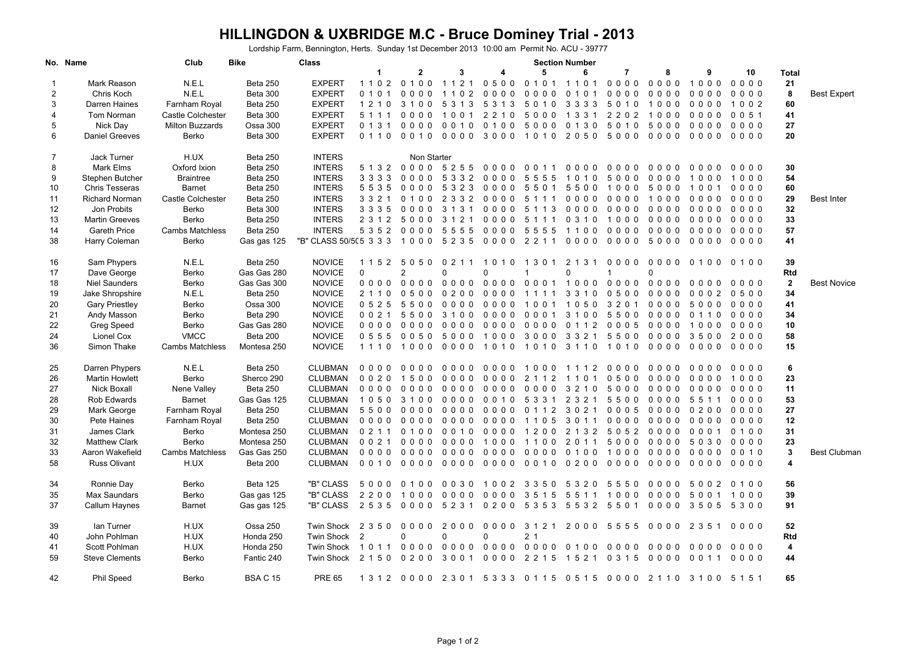## **HILLINGDON & UXBRIDGE M.C - Bruce Dominey Trial - 2013**

Lordship Farm, Bennington, Herts. Sunday 1st December 2013 10:00 am Permit No. ACU - 39777

|                | No. Name                                | Club                   | <b>Bike</b>     | <b>Class</b>           | <b>Section Number</b> |                 |                          |                          |                     |                                |                                                         |           |                |                          |              |                     |
|----------------|-----------------------------------------|------------------------|-----------------|------------------------|-----------------------|-----------------|--------------------------|--------------------------|---------------------|--------------------------------|---------------------------------------------------------|-----------|----------------|--------------------------|--------------|---------------------|
|                |                                         |                        |                 |                        | $\mathbf 1$           | $\mathbf{2}$    | 3                        | 4                        | 5                   | 6                              | 7                                                       | 8         | 9              | 10                       | Total        |                     |
| -1             | Mark Reason                             | N.E.L                  | Beta 250        | <b>EXPERT</b>          |                       | 1102 0100       | 1 1 2 1                  | 0500                     |                     | 0101 1101                      | $0000$                                                  | 0000      | 1000           | $0000$                   | 21           |                     |
| $\overline{2}$ | Chris Koch                              | N.E.L                  | Beta 300        | <b>EXPERT</b>          | 0 1 0 1               | 0000            | 1 1 0 2                  | 0000                     | 0000                | 0 1 0 1                        | 0000                                                    | 0000      | 0000           | 0000                     | 8            | <b>Best Expert</b>  |
| 3              | Darren Haines                           | Farnham Royal          | Beta 250        | <b>EXPERT</b>          |                       | 1 2 1 0 3 1 0 0 | 5 3 1 3                  |                          | 5313 5010           |                                | 3333 5010                                               | 1000      | 0000           | 1 0 0 2                  | 60           |                     |
| 4              | Tom Norman                              | Castle Colchester      | Beta 300        | <b>EXPERT</b>          | 5 1 1 1               | $0000$          | 1001                     | 2 2 1 0                  | 5000                | 1 3 3 1                        | 2202                                                    | 1000      | 0000           | 0051                     | 41           |                     |
| 5              | Nick Day                                | <b>Milton Buzzards</b> | Ossa 300        | <b>EXPERT</b>          | 0 1 3 1               | 0000            | 0010                     |                          | 0100 5000           |                                | 0130 5010                                               | 5000 0000 |                | $0000$                   | 27           |                     |
| 6              | <b>Daniel Greeves</b>                   | Berko                  | <b>Beta 300</b> | <b>EXPERT</b>          | 0 1 1 0               | 0010            | 0000                     | 3000                     | 1010                |                                | 2050 5000                                               | 0000      | 0000           | 0000                     | 20           |                     |
|                |                                         |                        |                 |                        |                       |                 |                          |                          |                     |                                |                                                         |           |                |                          |              |                     |
| 7              | Jack Turner                             | H.UX                   | Beta 250        | <b>INTERS</b>          |                       | Non Starter     |                          |                          |                     |                                |                                                         |           |                |                          |              |                     |
| 8              | Mark Elms                               | Oxford Ixion           | Beta 250        | <b>INTERS</b>          |                       |                 |                          | 5132 0000 5255 0000 0011 |                     |                                | 000000000                                               | 0000      | 0000           | 0000                     | 30           |                     |
| 9              | Stephen Butcher                         | <b>Braintree</b>       | Beta 250        | <b>INTERS</b>          | 3 3 3 3               | 0000            | 5 3 3 2                  | $0000$                   | 5555                | $\Omega$<br>10<br>$\mathbf{1}$ | 50<br>0 <sub>0</sub>                                    | $0000$    | 1000           | 1000                     | 54           |                     |
| 10             | <b>Chris Tesseras</b>                   | <b>Barnet</b>          | Beta 250        | <b>INTERS</b>          | 5535                  | 0000            | 5323                     |                          | 0000 5501           | 5500                           | 1000                                                    | 5000      | 1001           | 0000                     | 60           |                     |
| 11             | Richard Norman                          | Castle Colchester      | <b>Beta 250</b> | <b>INTERS</b>          | 3 3 2 1               | 0100            | 2 3 3 2                  | 0000                     | 5 1 1 1             | 0000                           | 0000                                                    | 1000      | 0000           | $0000$                   | 29           | <b>Best Inter</b>   |
| 12             | Jon Probits                             | Berko                  | Beta 300        | <b>INTERS</b>          |                       | 3 3 3 5 0 0 0 0 | 3 1 3 1                  |                          | 0000 5113           |                                | 000000000                                               | 0000      | 0000           | $0000$                   | 32           |                     |
| 13             | <b>Martin Greeves</b>                   | Berko                  | Beta 250        | <b>INTERS</b>          | 2 3 1 2               | 5000            | 3 1 2 1                  | 0000                     | 5 1 1 1             | 0,3,1,0                        | 1000                                                    | 0000      | $0000$         | $0000$                   | 33           |                     |
|                | <b>Gareth Price</b>                     |                        |                 | <b>INTERS</b>          |                       |                 |                          |                          |                     |                                |                                                         |           |                | $0000$                   | 57           |                     |
| 14             |                                         | <b>Cambs Matchless</b> | Beta 250        |                        |                       | 5352 0000       | 5555                     | 0000 5555                |                     |                                | 1100 0000                                               | 00000000  |                |                          |              |                     |
| 38             | Harry Coleman                           | Berko                  | Gas gas 125     | "B" CLASS 50/5(5 3 3 3 |                       | 1000            | 5 2 3 5                  | 0000                     | 2 2 1 1             | $0000$                         | 0000                                                    | 5000      | 0000           | $0000$                   | 41           |                     |
| 16             | Sam Phypers                             | N.E.L                  | <b>Beta 250</b> | <b>NOVICE</b>          |                       | 1152 5050       | 0 2 1 1                  | 1010                     | 1 3 0 1             | 2 1 3 1                        | $0000$                                                  | $0000$    | 0100           | 0, 1, 0, 0               | 39           |                     |
| 17             | Dave George                             | Berko                  | Gas Gas 280     | <b>NOVICE</b>          | $\Omega$              | 2               | $\Omega$                 | $\mathbf{0}$             | $\overline{1}$      | 0                              | $\mathbf{1}$                                            | $\Omega$  |                |                          | Rtd          |                     |
|                |                                         |                        |                 | <b>NOVICE</b>          |                       |                 |                          |                          |                     |                                |                                                         | 0000      | $0000$         | $0\quad 0\quad 0\quad 0$ |              | <b>Best Novice</b>  |
| 18             | <b>Niel Saunders</b>                    | Berko                  | Gas Gas 300     |                        | 0000                  | 0000            | $0000$                   | 0000                     | 0001                | 1000                           | 0000                                                    |           |                |                          | $\mathbf{2}$ |                     |
| 19             | Jake Shropshire                         | N.E.L                  | Beta 250        | <b>NOVICE</b>          | 2 1 1 0               | 0500            | 0200                     | 0000                     | 1111                | 3 3 1 0                        | 0500                                                    | 0000      | 0002           | 0500                     | 34           |                     |
| 20             | <b>Gary Priestley</b>                   | Berko                  | Ossa 300        | <b>NOVICE</b>          | 0525                  | 5500            | 0000                     | 0000                     | 1001                | 1050                           | 3 2 0 1                                                 | 0000      | 5000           | 0000                     | 41           |                     |
| 21             | Andy Masson                             | Berko                  | Beta 290        | <b>NOVICE</b>          |                       | 0021 5500       | 3100                     |                          | 0000 0001 3100 5500 |                                |                                                         | 0000      | 0110           | 0000                     | 34           |                     |
| 22             | Greg Speed                              | Berko                  | Gas Gas 280     | <b>NOVICE</b>          | $0000$                | 0000            | 0000                     | 0000                     | 0000                | 0 1 1 2                        | 0005                                                    | 0000      | 1000           | 0000                     | 10           |                     |
| 24             | Lionel Cox                              | <b>VMCC</b>            | Beta 200        | <b>NOVICE</b>          |                       | 05550050        | 5000                     | 10003000                 |                     |                                | 3321 5500                                               | 0000 3500 |                | 2000                     | 58           |                     |
| 36             | Simon Thake                             | <b>Cambs Matchless</b> | Montesa 250     | <b>NOVICE</b>          | 1 1 1 0               | 1000            | $0000$                   | 1010                     | 1010                | 3 1 1 0                        | 1010                                                    | 0000      | $0000$         | $0000$                   | 15           |                     |
| 25             |                                         | N.E.L                  | Beta 250        | <b>CLUBMAN</b>         | $0000$                | 0000            | $0000$                   | $0000$                   | 1000                | 1112                           | 0 <sub>0</sub><br>0 <sub>0</sub>                        | $0000$    | $0000$         | 0000                     | 6            |                     |
| 26             | Darren Phypers<br><b>Martin Howlett</b> |                        |                 | <b>CLUBMAN</b>         | 0020                  | 1500            | $0\quad 0\quad 0\quad 0$ | $0000$                   | 2 1 1 2             | 1101                           | 0500                                                    | 0000      | 0000           | 1000                     | 23           |                     |
|                |                                         | Berko                  | Sherco 290      |                        |                       |                 |                          |                          |                     |                                |                                                         |           |                |                          |              |                     |
| 27             | <b>Nick Boxall</b>                      | Nene Valley            | <b>Beta 250</b> | <b>CLUBMAN</b>         | 0000                  | 0000            | $0000$                   | $0000$                   | $0000$              | 3 2 1 0                        | 5000                                                    | 0000      | 0000           | 0000                     | 11           |                     |
| 28             | Rob Edwards                             | <b>Barnet</b>          | Gas Gas 125     | <b>CLUBMAN</b>         |                       | 10503100        | 0000                     |                          | 0010 5331 2321      |                                | 5500                                                    | 0000 5511 |                | 0000                     | 53           |                     |
| 29             | Mark George                             | Farnham Royal          | Beta 250        | <b>CLUBMAN</b>         | 5500                  | 0000            | 0000                     | 0000                     | 0 1 1 2             | 3 0 2 1                        | 0005                                                    | 0000      | 0200           | 0000                     | 27           |                     |
| 30             | Pete Haines                             | Farnham Royal          | Beta 250        | <b>CLUBMAN</b>         |                       | 00000000        |                          | 000000000                | 1 1 0 5             | 3011                           | 0000                                                    | 000000000 |                | 0000                     | 12           |                     |
| 31             | James Clark                             | Berko                  | Montesa 250     | <b>CLUBMAN</b>         | 0 2 1 1               | 0100            | 0010                     | 0000                     | 1200                | 2 1 3 2                        | 5052                                                    | 0000      | 0001           | 0100                     | 31           |                     |
| 32             | <b>Matthew Clark</b>                    | Berko                  | Montesa 250     | <b>CLUBMAN</b>         | 0 0 2 1               | 0000            |                          | 0000 1000                |                     |                                | 1100 2011 5000                                          | 0000 5030 |                | 0000                     | 23           |                     |
| 33             | Aaron Wakefield                         | <b>Cambs Matchless</b> | Gas Gas 250     | <b>CLUBMAN</b>         | $0000$                | 0000            | 0000                     | 0000                     | 0000                | 0100                           | 1000                                                    | 0000      | 0000           | 0010                     | $\mathbf 3$  | <b>Best Clubmar</b> |
| 58             | <b>Russ Olivant</b>                     | H.UX                   | Beta 200        | <b>CLUBMAN</b>         |                       | 00100000        |                          | 0000 0000 0010           |                     |                                | 02000000                                                | 0000      | 0000           | 0000                     | 4            |                     |
|                |                                         |                        |                 |                        |                       |                 |                          |                          |                     |                                |                                                         |           |                |                          |              |                     |
| 34             | Ronnie Day                              | Berko                  | <b>Beta 125</b> | "B" CLASS              |                       | 5000 0100       | $0\quad 0\quad 3\quad 0$ |                          | 1002 3350           |                                | 5320 5550                                               | 0000      | 5002           | 0100                     | 56           |                     |
| 35             | Max Saundars                            | Berko                  | Gas gas 125     | "B" CLASS              | 2200                  | 1000            | $0000$                   | 0000                     | 3515                | 5511                           | 1000                                                    | 0000      | 5001           | 1000                     | 39           |                     |
| 37             | Callum Haynes                           | <b>Barnet</b>          | Gas gas 125     | "B" CLASS              | 2535 0000             |                 | 5 2 3 1                  |                          |                     |                                | 0 2 0 0 5 3 5 3 5 5 3 2 5 5 0 1 0 0 0 0 3 5 0 5 5 3 0 0 |           |                |                          | 91           |                     |
| 39             | lan Turner                              | H.UX                   | Ossa 250        | <b>Twin Shock</b>      |                       | 2350 0000       | 2000                     |                          | 0000 3121 2000 5555 |                                |                                                         |           | 0000 2351 0000 |                          | 52           |                     |
| 40             | John Pohlman                            | H.UX                   | Honda 250       | <b>Twin Shock</b>      | $\overline{2}$        | $\Omega$        | $\Omega$                 | $\mathbf 0$              | 2 <sub>1</sub>      |                                |                                                         |           |                |                          | Rtd          |                     |
| 41             | Scott Pohlman                           | H.UX                   | Honda 250       | <b>Twin Shock</b>      | 1011 0000             |                 |                          | 0000 0000 0000           |                     |                                | 01000000                                                | 00000000  |                | 0000                     | 4            |                     |
| 59             | <b>Steve Clements</b>                   | Berko                  | Fantic 240      | <b>Twin Shock</b>      | 2 1 5 0               | 0200            | 3001                     | 0000                     | 2 2 1 5             | 1521                           | 0 3 1 5                                                 | 0000      | 0 0 1 1        | 0000                     | 44           |                     |
|                |                                         |                        |                 |                        |                       |                 |                          |                          |                     |                                |                                                         |           |                |                          |              |                     |
| 42             | Phil Speed                              | Berko                  | <b>BSA C 15</b> | <b>PRE 65</b>          |                       |                 |                          |                          |                     |                                | 1312 0000 2301 5333 0115 0515 0000 2110 3100 5151       |           |                |                          | 65           |                     |